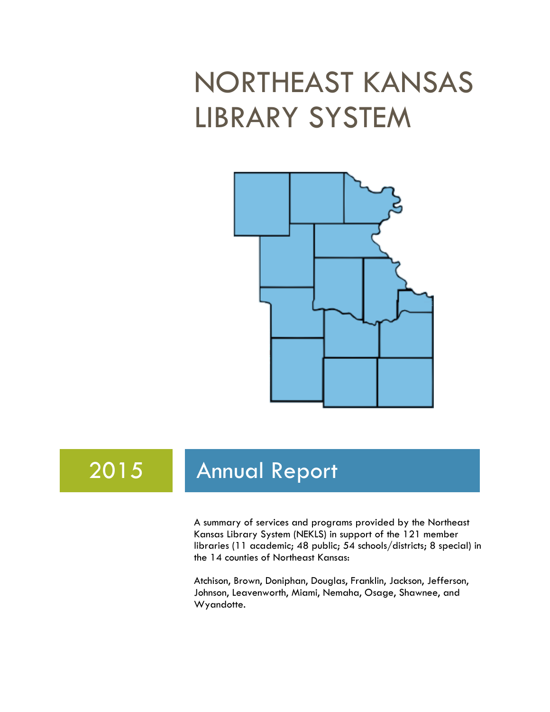# NORTHEAST KANSAS LIBRARY SYSTEM



## 2015 Annual Report

A summary of services and programs provided by the Northeast Kansas Library System (NEKLS) in support of the 121 member libraries (11 academic; 48 public; 54 schools/districts; 8 special) in the 14 counties of Northeast Kansas:

Atchison, Brown, Doniphan, Douglas, Franklin, Jackson, Jefferson, Johnson, Leavenworth, Miami, Nemaha, Osage, Shawnee, and Wyandotte.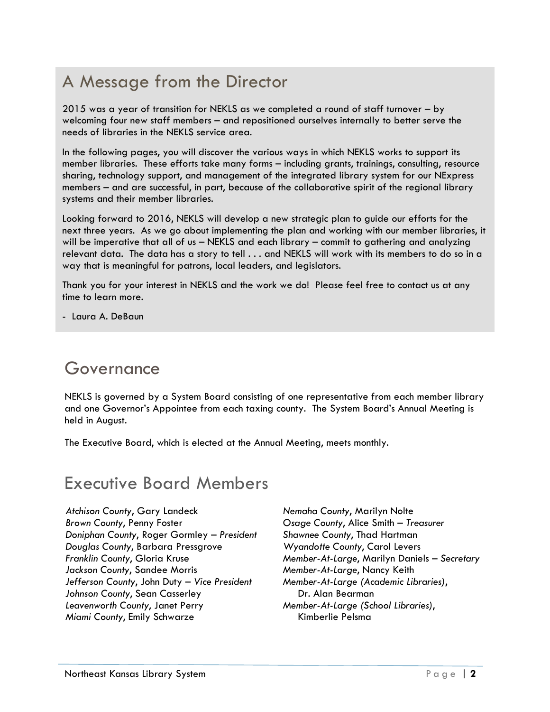### A Message from the Director

2015 was a year of transition for NEKLS as we completed a round of staff turnover – by welcoming four new staff members – and repositioned ourselves internally to better serve the needs of libraries in the NEKLS service area.

In the following pages, you will discover the various ways in which NEKLS works to support its member libraries. These efforts take many forms – including grants, trainings, consulting, resource sharing, technology support, and management of the integrated library system for our NExpress members – and are successful, in part, because of the collaborative spirit of the regional library systems and their member libraries.

Looking forward to 2016, NEKLS will develop a new strategic plan to guide our efforts for the next three years. As we go about implementing the plan and working with our member libraries, it will be imperative that all of us – NEKLS and each library – commit to gathering and analyzing relevant data. The data has a story to tell . . . and NEKLS will work with its members to do so in a way that is meaningful for patrons, local leaders, and legislators.

Thank you for your interest in NEKLS and the work we do! Please feel free to contact us at any time to learn more.

- Laura A. DeBaun

#### Governance

NEKLS is governed by a System Board consisting of one representative from each member library and one Governor's Appointee from each taxing county. The System Board's Annual Meeting is held in August.

The Executive Board, which is elected at the Annual Meeting, meets monthly.

#### Executive Board Members

*Atchison County*, Gary Landeck *Brown County*, Penny Foster *Doniphan County*, Roger Gormley *– President Douglas County*, Barbara Pressgrove *Franklin County*, Gloria Kruse *Jackson County*, Sandee Morris *Jefferson County*, John Duty – *Vice President Johnson County*, Sean Casserley *Leavenworth County*, Janet Perry *Miami County*, Emily Schwarze

*Nemaha County*, Marilyn Nolte *Osage County*, Alice Smith – *Treasurer Shawnee County*, Thad Hartman *Wyandotte County*, Carol Levers *Member-At-Large*, Marilyn Daniels – *Secretary Member-At-Large*, Nancy Keith *Member-At-Large (Academic Libraries)*, Dr. Alan Bearman *Member-At-Large (School Libraries)*, Kimberlie Pelsma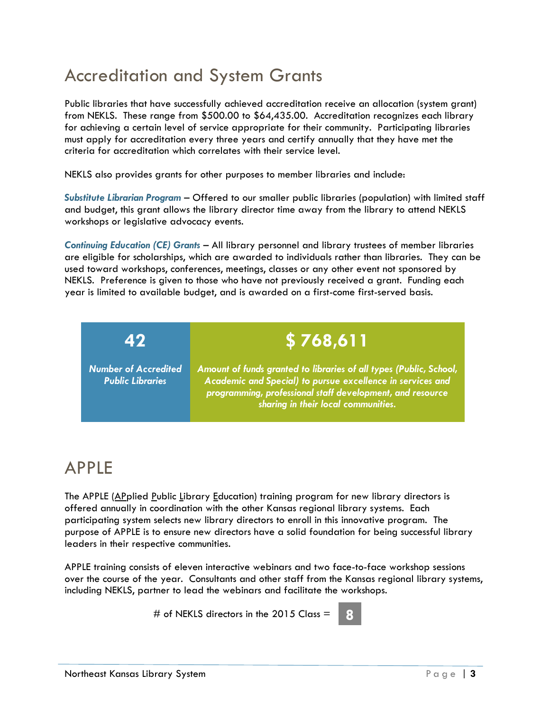### Accreditation and System Grants

Public libraries that have successfully achieved accreditation receive an allocation (system grant) from NEKLS. These range from \$500.00 to \$64,435.00. Accreditation recognizes each library for achieving a certain level of service appropriate for their community. Participating libraries must apply for accreditation every three years and certify annually that they have met the criteria for accreditation which correlates with their service level.

NEKLS also provides grants for other purposes to member libraries and include:

*Substitute Librarian Program* – Offered to our smaller public libraries (population) with limited staff and budget, this grant allows the library director time away from the library to attend NEKLS workshops or legislative advocacy events.

*Continuing Education (CE) Grants* – All library personnel and library trustees of member libraries are eligible for scholarships, which are awarded to individuals rather than libraries. They can be used toward workshops, conferences, meetings, classes or any other event not sponsored by NEKLS. Preference is given to those who have not previously received a grant. Funding each year is limited to available budget, and is awarded on a first-come first-served basis.

**42 \$ 768,611**

*Number of Accredited Public Libraries*

*Amount of funds granted to libraries of all types (Public, School, Academic and Special) to pursue excellence in services and programming, professional staff development, and resource* 

*sharing in their local communities.*

### APPLE

The APPLE (APplied Public Library Education) training program for new library directors is offered annually in coordination with the other Kansas regional library systems. Each participating system selects new library directors to enroll in this innovative program. The purpose of APPLE is to ensure new directors have a solid foundation for being successful library leaders in their respective communities.

APPLE training consists of eleven interactive webinars and two face-to-face workshop sessions over the course of the year. Consultants and other staff from the Kansas regional library systems, including NEKLS, partner to lead the webinars and facilitate the workshops.

# of NEKLS directors in the 2015 Class = **8**

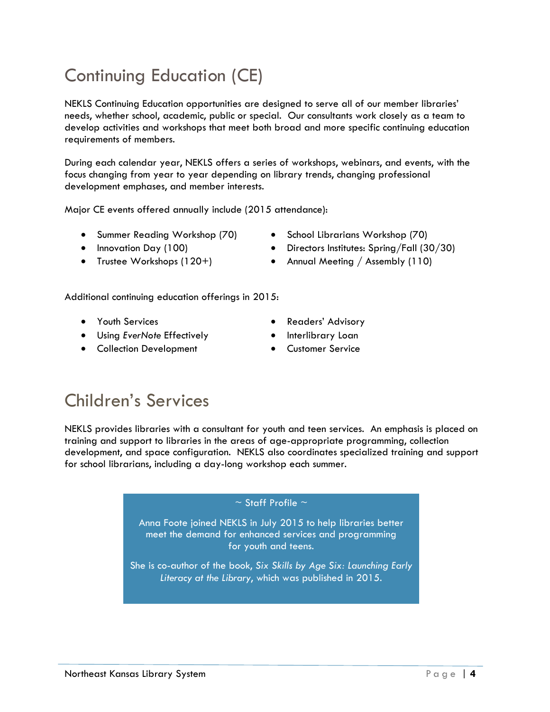## Continuing Education (CE)

NEKLS Continuing Education opportunities are designed to serve all of our member libraries' needs, whether school, academic, public or special. Our consultants work closely as a team to develop activities and workshops that meet both broad and more specific continuing education requirements of members.

During each calendar year, NEKLS offers a series of workshops, webinars, and events, with the focus changing from year to year depending on library trends, changing professional development emphases, and member interests.

Major CE events offered annually include (2015 attendance):

- Summer Reading Workshop (70)
- Innovation Day (100)
- Trustee Workshops (120+)

Additional continuing education offerings in 2015:

- Youth Services
- Using *EverNote* Effectively
- **•** Collection Development

• Directors Institutes: Spring/Fall (30/30) • Annual Meeting / Assembly (110)

• School Librarians Workshop (70)

- **•** Readers' Advisory
- Interlibrary Loan
- Customer Service

### Children's Services

NEKLS provides libraries with a consultant for youth and teen services. An emphasis is placed on training and support to libraries in the areas of age-appropriate programming, collection development, and space configuration. NEKLS also coordinates specialized training and support for school librarians, including a day-long workshop each summer.

#### $\sim$  Staff Profile  $\sim$

Anna Foote joined NEKLS in July 2015 to help libraries better meet the demand for enhanced services and programming for youth and teens.

She is co-author of the book, *Six Skills by Age Six: Launching Early Literacy at the Library*, which was published in 2015.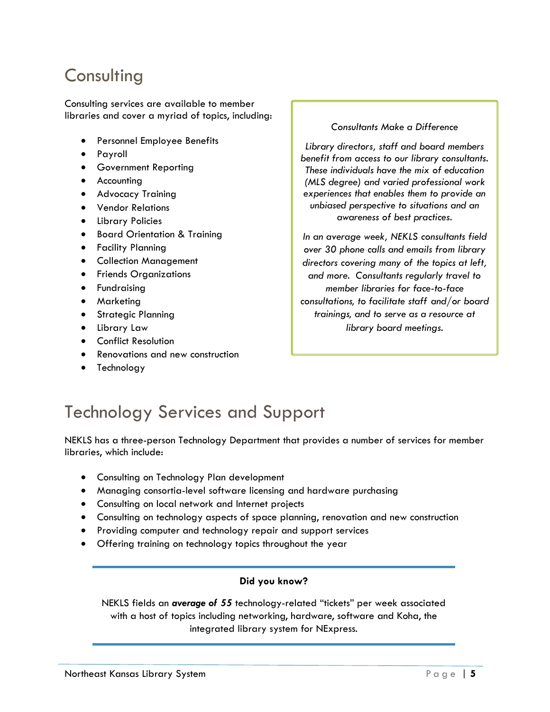#### **Consulting**

Consulting services are available to member libraries and cover a myriad of topics, including:

- Personnel Employee Benefits
- Payroll
- **•** Government Reporting
- **•** Accounting
- **•** Advocacy Training
- Vendor Relations
- Library Policies
- Board Orientation & Training
- **•** Facility Planning
- Collection Management
- **•** Friends Organizations
- **•** Fundraising
- **•** Marketing
- **•** Strategic Planning
- Library Law
- **•** Conflict Resolution
- Renovations and new construction
- Technology

*Consultants Make a Difference*

*Library directors, staff and board members benefit from access to our library consultants. These individuals have the mix of education (MLS degree) and varied professional work experiences that enables them to provide an unbiased perspective to situations and an awareness of best practices.*

*In an average week, NEKLS consultants field over 30 phone calls and emails from library directors covering many of the topics at left, and more. Consultants regularly travel to member libraries for face-to-face consultations, to facilitate staff and/or board trainings, and to serve as a resource at library board meetings.*

### Technology Services and Support

NEKLS has a three-person Technology Department that provides a number of services for member libraries, which include:

- Consulting on Technology Plan development
- Managing consortia-level software licensing and hardware purchasing
- Consulting on local network and Internet projects
- Consulting on technology aspects of space planning, renovation and new construction
- Providing computer and technology repair and support services
- Offering training on technology topics throughout the year

#### **Did you know?**

NEKLS fields an *average of 55* technology-related "tickets" per week associated with a host of topics including networking, hardware, software and Koha, the integrated library system for NExpress.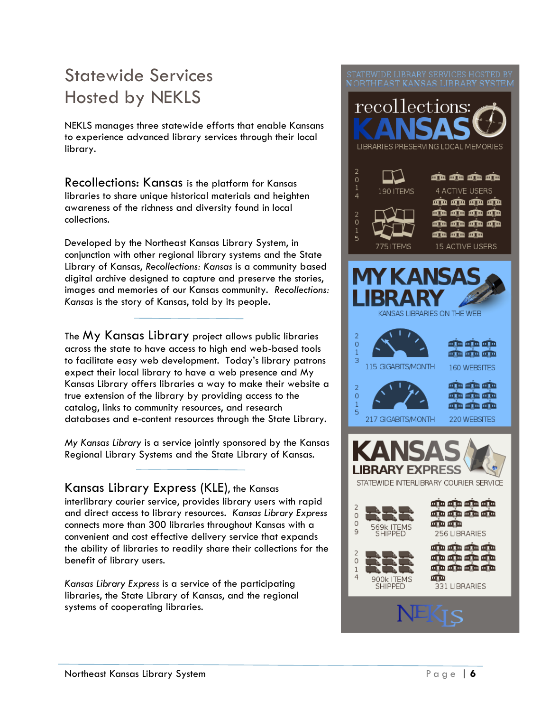### Statewide Services Hosted by NEKLS

NEKLS manages three statewide efforts that enable Kansans to experience advanced library services through their local library.

Recollections: Kansas is the platform for Kansas libraries to share unique historical materials and heighten awareness of the richness and diversity found in local collections.

Developed by the Northeast Kansas Library System, in conjunction with other regional library systems and the State Library of Kansas, *Recollections: Kansas* is a community based digital archive designed to capture and preserve the stories, images and memories of our Kansas community. *Recollections: Kansas* is the story of Kansas, told by its people.

The My Kansas Library project allows public libraries across the state to have access to high end web-based tools to facilitate easy web development. Today's library patrons expect their local library to have a web presence and My Kansas Library offers libraries a way to make their website a true extension of the library by providing access to the catalog, links to community resources, and research databases and e-content resources through the State Library.

*My Kansas Library* is a service jointly sponsored by the [Kansas](http://systems.mykansaslibrary.org/)  [Regional Library Systems](http://systems.mykansaslibrary.org/) and the [State Library of Kansas.](http://skyways.lib.ks.us/KSL/)

Kansas Library Express (KLE), the Kansas interlibrary courier service, provides library users with rapid and direct access to library resources. *Kansas Library Express* connects more than 300 libraries throughout Kansas with a convenient and cost effective delivery service that expands the ability of libraries to readily share their collections for the benefit of library users.

*Kansas Library Express* is a service of the participating libraries, the State Library of Kansas, and the regional systems of cooperating libraries.

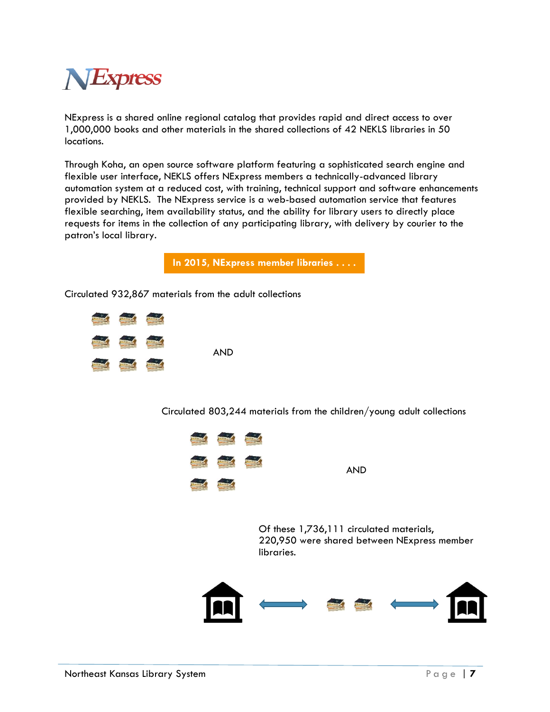

NExpress is a shared online regional catalog that provides rapid and direct access to over 1,000,000 books and other materials in the shared collections of 42 NEKLS libraries in 50 locations.

Through Koha, an open source software platform featuring a sophisticated search engine and flexible user interface, NEKLS offers NExpress members a technically-advanced library automation system at a reduced cost, with training, technical support and software enhancements provided by NEKLS. The NExpress service is a web-based automation service that features flexible searching, item availability status, and the ability for library users to directly place requests for items in the collection of any participating library, with delivery by courier to the patron's local library.

**In 2015, NExpress member libraries . . . .**

Circulated 932,867 materials from the adult collections



Circulated 803,244 materials from the children/young adult collections



AND

Of these 1,736,111 circulated materials, 220,950 were shared between NExpress member libraries.